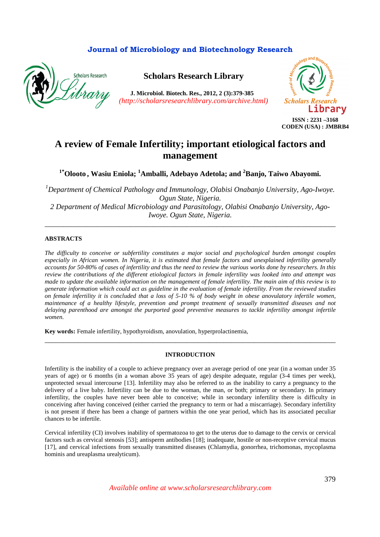## **Journal of Microbiology and Biotechnology Research**



**Scholars Research Library**

**J. Microbiol. Biotech. Res., 2012, 2 (3):379-385**  *(http://scholarsresearchlibrary.com/archive.html)*



# **A review of Female Infertility; important etiological factors and management**

**1\*Olooto , Wasiu Eniola; <sup>1</sup>Amballi, Adebayo Adetola; and <sup>2</sup>Banjo, Taiwo Abayomi.**

*<sup>1</sup>Department of Chemical Pathology and Immunology, Olabisi Onabanjo University, Ago-Iwoye. Ogun State, Nigeria. 2 Department of Medical Microbiology and Parasitology, Olabisi Onabanjo University, Ago-Iwoye. Ogun State, Nigeria.* 

\_\_\_\_\_\_\_\_\_\_\_\_\_\_\_\_\_\_\_\_\_\_\_\_\_\_\_\_\_\_\_\_\_\_\_\_\_\_\_\_\_\_\_\_\_\_\_\_\_\_\_\_\_\_\_\_\_\_\_\_\_\_\_\_\_\_\_\_\_\_\_\_\_\_\_\_\_\_

#### **ABSTRACTS**

*The difficulty to conceive or subfertility constitutes a major social and psychological burden amongst couples especially in African women. In Nigeria, it is estimated that female factors and unexplained infertility generally accounts for 50-80% of cases of infertility and thus the need to review the various works done by researchers. In this review the contributions of the different etiological factors in female infertility was looked into and attempt was made to update the available information on the management of female infertility. The main aim of this review is to generate information which could act as guideline in the evaluation of female infertility. From the reviewed studies on female infertility it is concluded that a loss of 5-10 % of body weight in obese anovulatory infertile women, maintenance of a healthy lifestyle, prevention and prompt treatment of sexually transmitted diseases and not delaying parenthood are amongst the purported good preventive measures to tackle infertility amongst infertile women.* 

**Key words:** Female infertility, hypothyroidism, anovulation, hyperprolactinemia,

#### **INTRODUCTION**

\_\_\_\_\_\_\_\_\_\_\_\_\_\_\_\_\_\_\_\_\_\_\_\_\_\_\_\_\_\_\_\_\_\_\_\_\_\_\_\_\_\_\_\_\_\_\_\_\_\_\_\_\_\_\_\_\_\_\_\_\_\_\_\_\_\_\_\_\_\_\_\_\_\_\_\_\_\_

Infertility is the inability of a couple to achieve pregnancy over an average period of one year (in a woman under 35 years of age) or 6 months (in a woman above 35 years of age) despite adequate, regular (3-4 times per week), unprotected sexual intercourse [13]. Infertility may also be referred to as the inability to carry a pregnancy to the delivery of a live baby. Infertility can be due to the woman, the man, or both; primary or secondary. In primary infertility, the couples have never been able to conceive; while in secondary infertility there is difficulty in conceiving after having conceived (either carried the pregnancy to term or had a miscarriage). Secondary infertility is not present if there has been a change of partners within the one year period, which has its associated peculiar chances to be infertile.

Cervical infertility (CI) involves inability of spermatozoa to get to the uterus due to damage to the cervix or cervical factors such as cervical stenosis [53]; antisperm antibodies [18]; inadequate, hostile or non-receptive cervical mucus [17], and cervical infections from sexually transmitted diseases (Chlamydia, gonorrhea, trichomonas, mycoplasma hominis and ureaplasma urealyticum).

*Available online at www.scholarsresearchlibrary.com*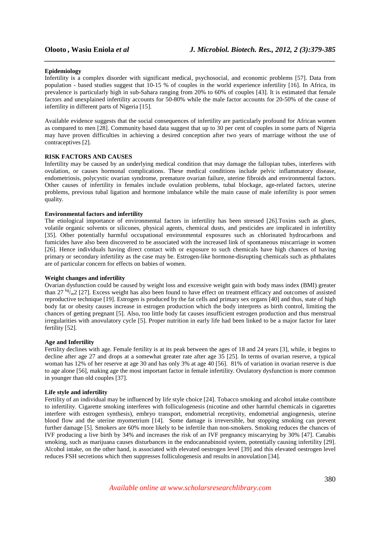#### **Epidemiology**

Infertility is a complex disorder with significant medical, psychosocial, and economic problems [57]. Data from population - based studies suggest that 10-15 % of couples in the world experience infertility [16]. In Africa, its prevalence is particularly high in sub-Sahara ranging from 20% to 60% of couples [43]. It is estimated that female factors and unexplained infertility accounts for 50-80% while the male factor accounts for 20-50% of the cause of infertility in different parts of Nigeria [15].

*\_\_\_\_\_\_\_\_\_\_\_\_\_\_\_\_\_\_\_\_\_\_\_\_\_\_\_\_\_\_\_\_\_\_\_\_\_\_\_\_\_\_\_\_\_\_\_\_\_\_\_\_\_\_\_\_\_\_\_\_\_\_\_\_\_\_\_\_\_\_\_\_\_\_\_\_\_\_*

Available evidence suggests that the social consequences of infertility are particularly profound for African women as compared to men [28]. Community based data suggest that up to 30 per cent of couples in some parts of Nigeria may have proven difficulties in achieving a desired conception after two years of marriage without the use of contraceptives [2].

#### **RISK FACTORS AND CAUSES**

Infertility may be caused by an underlying medical condition that may damage the fallopian tubes, interferes with ovulation, or causes hormonal complications. These medical conditions include pelvic inflammatory disease, endometriosis, polycystic ovarian syndrome, premature ovarian failure, uterine fibroids and environmental factors. Other causes of infertility in females include ovulation problems, tubal blockage, age-related factors, uterine problems, previous tubal ligation and hormone imbalance while the main cause of male infertility is poor semen quality.

#### **Environmental factors and infertility**

The etiological importance of environmental factors in infertility has been stressed [26].Toxins such as glues, volatile organic solvents or silicones, physical agents, chemical dusts, and pesticides are implicated in infertility [35]. Other potentially harmful occupational environmental exposures such as chlorinated hydrocarbons and fumicides have also been discovered to be associated with the increased link of spontaneous miscarriage in women [26]. Hence individuals having direct contact with or exposure to such chemicals have high chances of having primary or secondary infertility as the case may be. Estrogen-like hormone-disrupting chemicals such as phthalates are of particular concern for effects on babies of women.

#### **Weight changes and infertility**

Ovarian dysfunction could be caused by weight loss and excessive weight gain with body mass index (BMI) greater than 27 kg/m<sub>2</sub> [27]. Excess weight has also been found to have effect on treatment efficacy and outcomes of assisted reproductive technique [19]. Estrogen is produced by the fat cells and primary sex organs [40] and thus, state of high body fat or obesity causes increase in estrogen production which the body interprets as birth control, limiting the chances of getting pregnant [5]. Also, too little body fat causes insufficient estrogen production and thus menstrual irregularities with anovulatory cycle [5]. Proper nutrition in early life had been linked to be a major factor for later fertility [52].

#### **Age and Infertility**

Fertility declines with age. Female fertility is at its peak between the ages of 18 and 24 years [3], while, it begins to decline after age 27 and drops at a somewhat greater rate after age 35 [25]. In terms of ovarian reserve, a typical woman has 12% of her reserve at age 30 and has only 3% at age 40 [56]. 81% of variation in ovarian reserve is due to age alone [56], making age the most important factor in female infertility. Ovulatory dysfunction is more common in younger than old couples [37].

#### **Life style and infertility**

Fertility of an individual may be influenced by life style choice [24]. Tobacco smoking and alcohol intake contribute to infertility. Cigarette smoking interferes with folliculogenesis (nicotine and other harmful chemicals in cigarettes interfere with estrogen synthesis), embryo transport, endometrial receptivity, endometrial angiogenesis, uterine blood flow and the uterine myometrium [14]. Some damage is irreversible, but stopping smoking can prevent further damage [5]. Smokers are 60% more likely to be infertile than non-smokers. Smoking reduces the chances of IVF producing a live birth by 34% and increases the risk of an IVF pregnancy miscarrying by 30% [47]. Canabis smoking, such as marijuana causes disturbances in the endocannabinoid system, potentially causing infertility [29]. Alcohol intake, on the other hand, is associated with elevated oestrogen level [39] and this elevated oestrogen level reduces FSH secretions which then suppresses folliculogenesis and results in anovulation [34].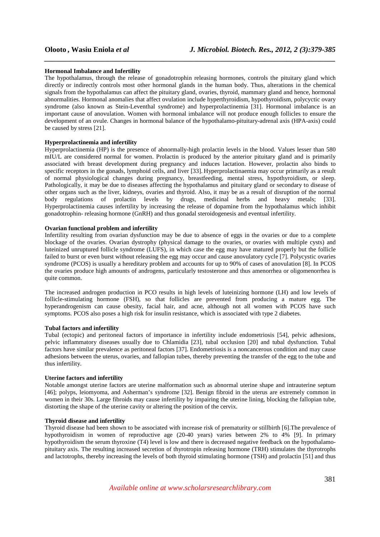#### **Hormonal Imbalance and Infertility**

The hypothalamus, through the release of gonadotrophin releasing hormones, controls the pituitary gland which directly or indirectly controls most other hormonal glands in the human body. Thus, alterations in the chemical signals from the hypothalamus can affect the pituitary gland, ovaries, thyroid, mammary gland and hence, hormonal abnormalities. Hormonal anomalies that affect ovulation include hyperthyroidism, hypothyroidism, polycyctic ovary syndrome (also known as Stein-Leventhal syndrome) and hyperprolactinemia [31]. Hormonal imbalance is an important cause of anovulation. Women with hormonal imbalance will not produce enough follicles to ensure the development of an ovule. Changes in hormonal balance of the hypothalamo-pituitary-adrenal axis (HPA-axis) could be caused by stress [21].

*\_\_\_\_\_\_\_\_\_\_\_\_\_\_\_\_\_\_\_\_\_\_\_\_\_\_\_\_\_\_\_\_\_\_\_\_\_\_\_\_\_\_\_\_\_\_\_\_\_\_\_\_\_\_\_\_\_\_\_\_\_\_\_\_\_\_\_\_\_\_\_\_\_\_\_\_\_\_*

#### **Hyperprolactinemia and infertility**

Hyperprolactinemia (HP) is the presence of abnormally-high prolactin levels in the blood. Values lesser than 580 mIU/L are considered normal for women. Prolactin is produced by the anterior pituitary gland and is primarily associated with breast development during pregnancy and induces lactation. However, prolactin also binds to specific receptors in the gonads, lymphoid cells, and liver [33]. Hyperprolactinaemia may occur primarily as a result of normal physiological changes during pregnancy, breastfeeding, mental stress, hypothyroidism, or sleep. Pathologically, it may be due to diseases affecting the hypothalamus and pituitary gland or secondary to disease of other organs such as the liver, kidneys, ovaries and thyroid. Also, it may be as a result of disruption of the normal body regulations of prolactin levels by drugs, medicinal herbs and heavy metals; [33]. Hyperprolactinemia causes infertility by increasing the release of dopamine from the hypothalamus which inhibit gonadotrophin- releasing hormone (GnRH) and thus gonadal steroidogenesis and eventual infertility.

### **Ovarian functional problem and infertility**

Infertility resulting from ovarian dysfunction may be due to absence of eggs in the ovaries or due to a complete blockage of the ovaries. Ovarian dystrophy (physical damage to the ovaries, or ovaries with multiple cysts) and luteinized unruptured follicle syndrome (LUFS), in which case the egg may have matured properly but the follicle failed to burst or even burst without releasing the egg may occur and cause anovulatory cycle [7]. Polycystic ovaries syndrome (PCOS) is usually a hereditary problem and accounts for up to 90% of cases of anovulation [8]. In PCOS the ovaries produce high amounts of androgens, particularly testosterone and thus amenorrhea or oligomenorrhea is quite common.

The increased androgen production in PCO results in high levels of luteinizing hormone (LH) and low levels of follicle-stimulating hormone (FSH), so that follicles are prevented from producing a mature egg. The hyperandrogenism can cause obesity, facial hair, and acne, although not all women with PCOS have such symptoms. PCOS also poses a high risk for insulin resistance, which is associated with type 2 diabetes.

#### **Tubal factors and infertility**

Tubal (ectopic) and peritoneal factors of importance in infertility include endometriosis [54], pelvic adhesions, pelvic inflammatory diseases usually due to Chlamidia [23], tubal occlusion [20] and tubal dysfunction. Tubal factors have similar prevalence as peritoneal factors [37]. Endometriosis is a noncancerous condition and may cause adhesions between the uterus, ovaries, and fallopian tubes, thereby preventing the transfer of the egg to the tube and thus infertility.

#### **Uterine factors and infertility**

Notable amongst uterine factors are uterine malformation such as abnormal uterine shape and intrauterine septum [46]; polyps, leiomyoma, and Asherman's syndrome [32]. Benign fibroid in the uterus are extremely common in women in their 30s. Large fibroids may cause infertility by impairing the uterine lining, blocking the fallopian tube, distorting the shape of the uterine cavity or altering the position of the cervix.

#### **Thyroid disease and infertility**

Thyroid disease had been shown to be associated with increase risk of prematurity or stillbirth [6].The prevalence of hypothyroidism in women of reproductive age (20-40 years) varies between 2% to 4% [9]. In primary hypothyroidism the serum thyroxine (T4) level is low and there is decreased negative feedback on the hypothalamopituitary axis. The resulting increased secretion of thyrotropin releasing hormone (TRH) stimulates the thyrotrophs and lactotrophs, thereby increasing the levels of both thyroid stimulating hormone (TSH) and prolactin [51] and thus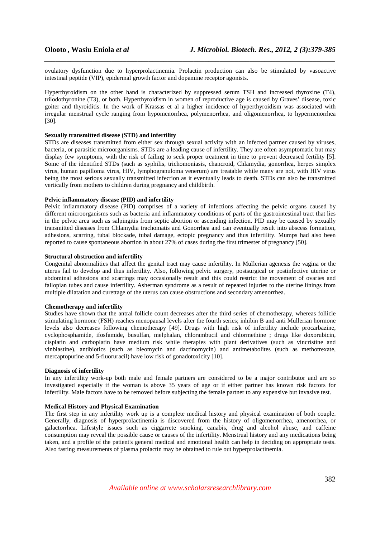ovulatory dysfunction due to hyperprolactinemia. Prolactin production can also be stimulated by vasoactive intestinal peptide (VIP), epidermal growth factor and dopamine receptor agonists.

*\_\_\_\_\_\_\_\_\_\_\_\_\_\_\_\_\_\_\_\_\_\_\_\_\_\_\_\_\_\_\_\_\_\_\_\_\_\_\_\_\_\_\_\_\_\_\_\_\_\_\_\_\_\_\_\_\_\_\_\_\_\_\_\_\_\_\_\_\_\_\_\_\_\_\_\_\_\_*

Hyperthyroidism on the other hand is characterized by suppressed serum TSH and increased thyroxine (T4), triiodothyronine (T3), or both. Hyperthyroidism in women of reproductive age is caused by Graves' disease, toxic goiter and thyroiditis. In the work of Krassas et al a higher incidence of hyperthyroidism was associated with irregular menstrual cycle ranging from hypomenorrhea, polymenorrhea, and oligomenorrhea, to hypermenorrhea [30].

#### **Sexually transmitted disease (STD) and infertility**

STDs are diseases transmitted from either sex through sexual activity with an infected partner caused by viruses, bacteria, or parasitic microorganisms. STDs are a leading cause of infertility. They are often asymptomatic but may display few symptoms, with the risk of failing to seek proper treatment in time to prevent decreased fertility [5]. Some of the identified STDs (such as syphilis, trichomoniasis, chancroid, Chlamydia, gonorrhea, herpes simplex virus, human papilloma virus, HIV, lymphogranuloma venerum) are treatable while many are not, with HIV virus being the most serious sexually transmitted infection as it eventually leads to death. STDs can also be transmitted vertically from mothers to children during pregnancy and childbirth.

#### **Pelvic inflammatory disease (PID) and infertility**

Pelvic inflammatory disease (PID) comprises of a variety of infections affecting the pelvic organs caused by different microorganisms such as bacteria and inflammatory conditions of parts of the gastrointestinal tract that lies in the pelvic area such as salpingitis from septic abortion or ascending infection. PID may be caused by sexually transmitted diseases from Chlamydia trachomatis and Gonorrhea and can eventually result into abscess formation, adhesions, scarring, tubal blockade, tubal damage, ectopic pregnancy and thus infertility. Mumps had also been reported to cause spontaneous abortion in about 27% of cases during the first trimester of pregnancy [50].

### **Structural obstruction and infertility**

Congenital abnormalities that affect the genital tract may cause infertility. In Mullerian agenesis the vagina or the uterus fail to develop and thus infertility. Also, following pelvic surgery, postsurgical or postinfective uterine or abdominal adhesions and scarrings may occasionally result and this could restrict the movement of ovaries and fallopian tubes and cause infertility. Asherman syndrome as a result of repeated injuries to the uterine linings from multiple dilatation and curettage of the uterus can cause obstructions and secondary amenorrhea.

#### **Chemotherapy and infertility**

Studies have shown that the antral follicle count decreases after the third series of chemotherapy, whereas follicle stimulating hormone (FSH) reaches menopausal levels after the fourth series; inhibin B and anti Mullerian hormone levels also decreases following chemotherapy [49]. Drugs with high risk of infertility include procarbazine, cyclophosphamide, ifosfamide, busulfan, melphalan, chlorambucil and chlormethine ; drugs like doxorubicin, cisplatin and carboplatin have medium risk while therapies with plant derivatives (such as vincristine and vinblastine), antibiotics (such as bleomycin and dactinomycin) and antimetabolites (such as methotrexate, mercaptopurine and 5-fluoruracil) have low risk of gonadotoxicity [10].

#### **Diagnosis of infertility**

In any infertility work-up both male and female partners are considered to be a major contributor and are so investigated especially if the woman is above 35 years of age or if either partner has known risk factors for infertility. Male factors have to be removed before subjecting the female partner to any expensive but invasive test.

### **Medical History and Physical Examination**

The first step in any infertility work up is a complete medical history and physical examination of both couple. Generally, diagnosis of hyperprolactinemia is discovered from the history of oligomenorrhea, amenorrhea, or galactorrhea. Lifestyle issues such as ciggarrete smoking, canabis, drug and alcohol abuse, and caffeine consumption may reveal the possible cause or causes of the infertility. Menstrual history and any medications being taken, and a profile of the patient's general medical and emotional health can help in deciding on appropriate tests. Also fasting measurements of plasma prolactin may be obtained to rule out hyperprolactinemia.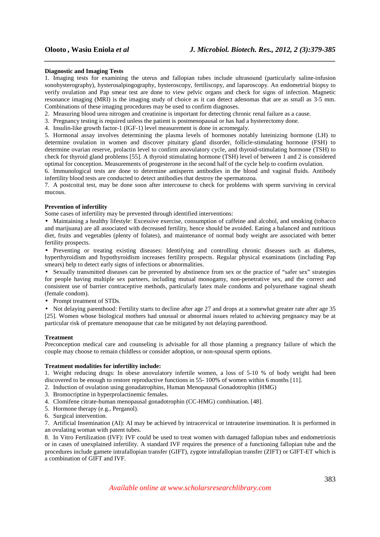#### **Diagnostic and Imaging Tests**

1. Imaging tests for examining the uterus and fallopian tubes include ultrasound (particularly saline-infusion sonohysterography), hysterosalpingography, hysteroscopy, fertiliscopy, and laparoscopy. An endometrial biopsy to verify ovulation and Pap smear test are done to view pelvic organs and check for signs of infection. Magnetic resonance imaging (MRI) is the imaging study of choice as it can detect adenomas that are as small as 3-5 mm. Combinations of these imaging procedures may be used to confirm diagnoses.

*\_\_\_\_\_\_\_\_\_\_\_\_\_\_\_\_\_\_\_\_\_\_\_\_\_\_\_\_\_\_\_\_\_\_\_\_\_\_\_\_\_\_\_\_\_\_\_\_\_\_\_\_\_\_\_\_\_\_\_\_\_\_\_\_\_\_\_\_\_\_\_\_\_\_\_\_\_\_*

2. Measuring blood urea nitrogen and creatinine is important for detecting chronic renal failure as a cause.

3. Pregnancy testing is required unless the patient is postmenopausal or has had a hysterectomy done.

4. Insulin-like growth factor-1 (IGF-1) level measurement is done in acromegaly.

5. Hormonal assay involves determining the plasma levels of hormones notably luteinizing hormone (LH) to determine ovulation in women and discover pituitary gland disorder, follicle-stimulating hormone (FSH) to determine ovarian reserve, prolactin level to confirm anovulatory cycle, and thyroid-stimulating hormone (TSH) to check for thyroid gland problems [55]. A thyroid stimulating hormone (TSH) level of between 1 and 2 is considered optimal for conception. Measurements of progesterone in the second half of the cycle help to confirm ovulation.

6. Immunological tests are done to determine antisperm antibodies in the blood and vaginal fluids. Antibody infertility blood tests are conducted to detect antibodies that destroy the spermatozoa.

7. A postcoital test, may be done soon after intercourse to check for problems with sperm surviving in cervical mucous.

### **Prevention of infertility**

Some cases of infertility may be prevented through identified interventions:

• Maintaining a healthy lifestyle: Excessive exercise, consumption of caffeine and alcohol, and smoking (tobacco and marijuana) are all associated with decreased fertility, hence should be avoided. Eating a balanced and nutritious diet, fruits and vegetables (plenty of folates), and maintenance of normal body weight are associated with better fertility prospects.

• Preventing or treating existing diseases: Identifying and controlling chronic diseases such as diabetes, hyperthyroidism and hypothyroidism increases fertility prospects. Regular physical examinations (including Pap smears) help to detect early signs of infections or abnormalities.

• Sexually transmitted diseases can be prevented by abstinence from sex or the practice of "safer sex" strategies for people having multiple sex partners, including mutual monogamy, non-penetrative sex, and the correct and consistent use of barrier contraceptive methods, particularly latex male condoms and polyurethane vaginal sheath (female condom).

• Prompt treatment of STDs.

• Not delaying parenthood: Fertility starts to decline after age 27 and drops at a somewhat greater rate after age 35 [25]. Women whose biological mothers had unusual or abnormal issues related to achieving pregnancy may be at particular risk of premature menopause that can be mitigated by not delaying parenthood.

#### **Treatment**

Preconception medical care and counseling is advisable for all those planning a pregnancy failure of which the couple may choose to remain childless or consider adoption, or non-spousal sperm options.

#### **Treatment modalities for infertility include:**

1. Weight reducing drugs: In obese anovulatory infertile women, a loss of 5-10 % of body weight had been discovered to be enough to restore reproductive functions in 55- 100% of women within 6 months [11].

2. Induction of ovulation using gonadatrophins, Human Menopausal Gonadotrophin (HMG)

- 3. Bromocriptine in hyperprolactinemic females.
- 4. Clomifene citrate-human menopausal gonadotrophin (CC-HMG) combination. [48].
- 5. Hormone therapy (e.g., Perganol).
- 6. Surgical intervention.

7. Artificial Insemination (AI): AI may be achieved by intracervical or intrauterine insemination. It is performed in an ovulating woman with patent tubes.

8. In Vitro Fertilization (IVF): IVF could be used to treat women with damaged fallopian tubes and endometriosis or in cases of unexplained infertility. A standard IVF requires the presence of a functioning fallopian tube and the procedures include gamete intrafallopian transfer (GIFT), zygote intrafallopian transfer (ZIFT) or GIFT-ET which is a combination of GIFT and IVF.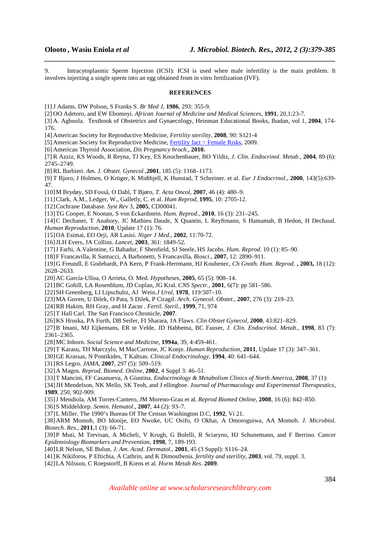9. Intracytoplasmic Sperm Injection (ICSI): ICSI is used when male infertility is the main problem. It involves injecting a single sperm into an egg obtained from in vitro fertilization (IVF).

*\_\_\_\_\_\_\_\_\_\_\_\_\_\_\_\_\_\_\_\_\_\_\_\_\_\_\_\_\_\_\_\_\_\_\_\_\_\_\_\_\_\_\_\_\_\_\_\_\_\_\_\_\_\_\_\_\_\_\_\_\_\_\_\_\_\_\_\_\_\_\_\_\_\_\_\_\_\_*

#### **REFERENCES**

[1]J Adams, DW Polson, S Franks S. *Br Med J,* **1986**, 293: 355-9.

[2] OO Adetoro, and EW Ebomoyi. *African Journal of Medicine and Medical Sciences*, **1991**, 20,1:23-7.

[3] A. Agboola. Textbook of Obstetrics and Gynaecology, Heinman Educational Books, Ibadan, vol 1, **2004**, 174- 176.

[4] American Society for Reproductive Medicine, *Fertility sterility*, **2008**, 90: S121-4

[5] American Society for Reproductive Medicine, Fertility fact > Female Risks, 2009.

[6] American Thyroid Association, *Dis Pregnancy broch*., **2010.**

[7] R Azziz, KS Woods, R Reyna, TJ Key, ES Knochenhauer, BO Yildiz, *J. Clin. Endocrinol. Metab*., **2004**, 89 (6): 2745–2749.

[8] RL Barbieri. *Am. J. Obstet. Gynecol*.,**2001**, 185 (5): 1168–1173.

[9] T Bjoro, J Holmen, O Krüger, K Midthjell, K Hunstad, T Schreiner. et al. *Eur J Endocrinol*., **2000**, 143(5):639- 47.

[10]M Brydøy, SD Fosså, O Dahl, T Bjøro, *T. Acta Oncol*, **2007**, 46 (4): 480–9.

[11]Clark, A.M., Ledger, W., Galletly, C. et al. *Hum Reprod,* **1995**, 10: 2705-12.

[12]Cochrane Database. *Syst Rev* 3, **2005**, CD00041.

[13]TG Cooper, E Noonan, S von Eckardstein. *Hum. Reprod*., **2010**, 16 (3): 231–245.

[14]C Dechanet, T Anahory, JC Mathieu Daude, X Quantin, L Reyftmann, S Hamamah, B Hedon, H Dechaud. *Human Reproduction*, **2010**, Update 17 (1): 76.

[15]OA Esimai, EO Orji, AR Lasisi. *Niger J Med*., **2002**, 11:70-72.

[16]JLH Evers, JA Collins. *Lancet*, **2003**, 361: 1849-52.

[17]J Farhi, A.Valentine, G Bahadur, F Shenfield, SJ Steele, HS Jacobs. *Hum. Reprod*. 10 (1): 85–90.

[18]F Francavilla, R Santucci, A Barbonetti, S Francavilla, *Biosci*., **2007**, 12: 2890–911.

[19]G Freundl, E Godehardt, PA Kern, P Frank-Herrmann, HJ Koubenec, *Ch Gnoth. Hum. Reprod*. **, 2003,** 18 (12): 2628–2633.

[20]AC García-Ulloa, O Arrieta, O. Med. *Hypotheses*, **2005**, 65 (5): 908–14.

[21]BC Gohill, LA Rosenblum, JD Coplan, JG Kral. *CNS Spectr.,* **2001**, 6(7): pp 581–586.

[22]SH Greenberg, LI Lipschultz, AJ Wein.*J Urol*, **1978**, 119:507–10.

[23]MA Guven, U Dilek, O Pata, S Dilek, P Ciragil. *Arch. Gynecol. Obstet*., **2007**, 276 (3): 219–23.

[24]RB Hakim, RH Gray, and H Zacur . *Fertil. Steril*., **1999**, 71, 974

[25]T Hall Carl. The San Francisco Chronicle, **2007**.

[26]KS Hruska, PA Furth, DB Seifer, FI Sharara, JA Flaws. *Clin Obstet Gynecol*, **2000**, 43:821–829.

[27]B Imani, MJ Eijkemans, ER te Velde, JD Habbema, BC Fauser, *J. Clin. Endocrinol. Metab*., **1998**, 83 (7): 2361–2365.

[28]MC Inhorn. *Social Science and Medicine*, **1994a**, 39, 4:459-461.

[29]T Karasu, TH Marczylo, M MacCarrone, JC Konje. *Human Reproduction*, **2011**, Update 17 (3): 347–361.

[30]GE Krassas, N Pontikides, T Kaltsas. *Clinical Endocrinology*, **1994**, 40: 641–644.

[31]RS Legro. *JAMA*, **2007**, 297 (5): 509–519.

[32]A Magos. *Reprod. Biomed. Online*, **2002**, 4 Suppl 3: 46–51.

[33]T Mancini, FF Casanueva, A Giustina. *Endocrinology & Metabolism Clinics of North America*, **2008**, 37 (1):

[34]JH Mendelson, NK Mello, SK Teoh, and J ellingboe. *Journal of Pharmacology and Experimental Therapeutics*, **1989**, 250, 902-909.

[35]J Mendiola, AM Torres-Cantero, JM Moreno-Grau et al. *Reprod Biomed Online*, **2008**, 16 (6): 842–850.

[36]S Middeldorp. *Semin. Hematol*., **2007**, 44 (2): 93–7.

[37]L Miller. The 1990's Bureau Of The Census Washington D.C, **1992**, Vi 21.

[38]ARM Momoh, BO Idonije, EO Nwoke, UC Osifo, O Okhai, A Omoroguiwa, AA Momoh. *J. Microbiol. Biotech. Res.,* **2011**,1 (3): 66-71.

[39]P Muti, M Trevisan, A Micheli, V Krogh, G Bolelli, R Sciaryno, HJ Schunemann, and F Berrino. Cancer *Epidemiology Biomarkers and Prevention*, **1998**, 7, 189-193.

[40]LR Nelson, SE Bulun. *J. Am. Acad. Dermatol.,* **2001**, 45 (3 Suppl): S116–24.

[41]K Nikiforos, P Eftichia, A Cathrin, and K Dimosthenis. *fertility and sterility,* **2003**, vol. 79, suppl. 3.

[42]LA Nilsson, C Roepstorff, B Kiens et al. *Horm Metab Res*. **2009**.